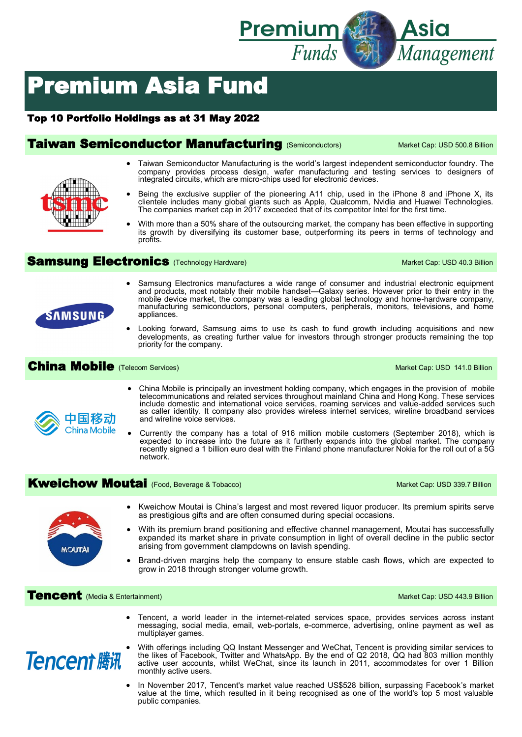

# Premium Asia Fund

#### Top 10 Portfolio Holdings as at 31 May 2022

### **Taiwan Semiconductor Manufacturing** (Semiconductors) Market Cap: USD 500.8 Billion



- Taiwan Semiconductor Manufacturing is the world's largest independent semiconductor foundry. The company provides process design, wafer manufacturing and testing services to designers of integrated circuits, which are micro-chips used for electronic devices.
- Being the exclusive supplier of the pioneering A11 chip, used in the iPhone 8 and iPhone X, its clientele includes many global giants such as Apple, Qualcomm, Nvidia and Huawei Technologies. The companies market cap in 2017 exceeded that of its competitor Intel for the first time.
- With more than a 50% share of the outsourcing market, the company has been effective in supporting its growth by diversifying its customer base, outperforming its peers in terms of technology and profits.

### Samsung Electronics (Technology Hardware) Market Cap: USD 40.3 Billion

- Samsung Electronics manufactures a wide range of consumer and industrial electronic equipment and products, most notably their mobile handset—Galaxy series. However prior to their entry in the mobile device market, the company was a leading global technology and home-hardware company, manufacturing semiconductors, personal computers, peripherals, monitors, televisions, and home appliances.
- Looking forward, Samsung aims to use its cash to fund growth including acquisitions and new developments, as creating further value for investors through stronger products remaining the top priority for the company.

#### China Mobile (Telecom Services) Market Cap: USD 141.0 Billion



**SAMSUNG** 

- China Mobile is principally an investment holding company, which engages in the provision of mobile telecommunications and related services throughout mainland China and Hong Kong. These services include domestic and international voice services, roaming services and value-added services such as caller identity. It company also provides wireless internet services, wireline broadband services and wireline voice services.
- Currently the company has a total of 916 million mobile customers (September 2018), which is expected to increase into the future as it furtherly expands into the global market. The company recently signed a 1 billion euro deal with the Finland phone manufacturer Nokia for the roll out of a 5G network.

## **Kweichow Moutai** (Food, Beverage & Tobacco) Market Cap: USD 339.7 Billion



- Kweichow Moutai is China's largest and most revered liquor producer. Its premium spirits serve as prestigious gifts and are often consumed during special occasions.
- With its premium brand positioning and effective channel management, Moutai has successfully expanded its market share in private consumption in light of overall decline in the public sector arising from government clampdowns on lavish spending.
- Brand-driven margins help the company to ensure stable cash flows, which are expected to grow in 2018 through stronger volume growth.

**Tencent** (Media & Entertainment) Market Cap: USD 443.9 Billion

• Tencent, a world leader in the internet-related services space, provides services across instant messaging, social media, email, web-portals, e-commerce, advertising, online payment as well as multiplayer games.



- With offerings including QQ Instant Messenger and WeChat, Tencent is providing similar services to the likes of Facebook, Twitter and WhatsApp. By the end of Q2 2018, QQ had 803 million monthly active user accounts, whilst WeChat, since its launch in 2011, accommodates for over 1 Billion monthly active users.
- In November 2017, Tencent's market value reached US\$528 billion, surpassing Facebook's market value at the time, which resulted in it being recognised as one of the world's top 5 most valuable public companies.